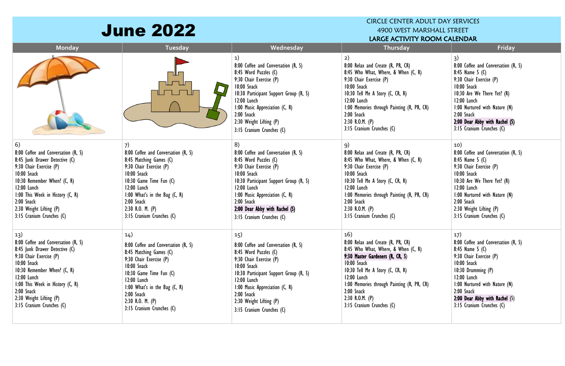|                                                                                                                                                                                                                                                                                    | <b>June 2022</b>                                                                                                                                                                                                                                                  |                                                                                                                                                                                                                                                                                      | <b>CIRCLE CENTER ADULT DAY SERVICES</b><br>4900 WEST MARSHALL STREET<br>LARGE ACTIVITY ROOM CALENDAR                                                                                                                                                                                                |                                                                                                                                                                                                                                                                     |  |  |
|------------------------------------------------------------------------------------------------------------------------------------------------------------------------------------------------------------------------------------------------------------------------------------|-------------------------------------------------------------------------------------------------------------------------------------------------------------------------------------------------------------------------------------------------------------------|--------------------------------------------------------------------------------------------------------------------------------------------------------------------------------------------------------------------------------------------------------------------------------------|-----------------------------------------------------------------------------------------------------------------------------------------------------------------------------------------------------------------------------------------------------------------------------------------------------|---------------------------------------------------------------------------------------------------------------------------------------------------------------------------------------------------------------------------------------------------------------------|--|--|
| Monday                                                                                                                                                                                                                                                                             | Tuesday                                                                                                                                                                                                                                                           | Wednesday                                                                                                                                                                                                                                                                            | Thursday                                                                                                                                                                                                                                                                                            | Friday                                                                                                                                                                                                                                                              |  |  |
|                                                                                                                                                                                                                                                                                    |                                                                                                                                                                                                                                                                   | 1)<br>8:00 Coffee and Conversation (R, S)<br>8:45 Word Puzzles (C)<br>9:30 Chair Exercise (P)<br>10:00 Snack<br>10:30 Participant Support Group (R, S)<br>12:00 Lunch<br>I:00 Music Appreciation (C, R)<br>$2:00$ Snack<br>2:30 Weight Lifting (P)<br>3:15 Cranium Crunches (C)      | 2)<br>8:00 Relax and Create (R, PR, CR)<br>8:45 Who What, Where, & When (C, R)<br>9:30 Chair Exercise (P)<br>10:00 Snack<br>10:30 Tell Me A Story (C, CR, R)<br>12:00 Lunch<br>1:00 Memories through Painting (R, PR, CR)<br>2:00 Snack<br>2:30 R.O.M. $(P)$<br>3:15 Cranium Crunches (C)           | 3)<br>8:00 Coffee and Conversation (R, S)<br>8:45 Name $5(0)$<br>9:30 Chair Exercise (P)<br>10:00 Snack<br>10:30 Are We There Yet? (R)<br>12:00 Lunch<br>1:00 Nurtured with Nature (N)<br>2:00 Snack<br>2:00 Dear Abby with Rachel (S)<br>3:15 Cranium Crunches (C) |  |  |
| 6)<br>8:00 Coffee and Conversation (R, S)<br>8:45 Junk Drawer Detective (C)<br>9:30 Chair Exercise (P)<br>10:00 Snack<br>10:30 Remember When? (C, R)<br>12:00 Lunch<br>I:00 This Week in History (C, R)<br>2:00 Snack<br>2:30 Weight Lifting (P)<br>3:15 Cranium Crunches (C)      | 8:00 Coffee and Conversation (R, S)<br>8:45 Matching Games (C)<br>9:30 Chair Exercise (P)<br>10:00 Snack<br>10:30 Game Time Fun (C)<br>12:00 Lunch<br>1:00 What's in the Bag $(C, R)$<br>2:00 Snack<br>$2:30$ R.O. M. $(P)$<br>3:15 Cranium Crunches (C)          | 8)<br>8:00 Coffee and Conversation (R, S)<br>8:45 Word Puzzles (C)<br>9:30 Chair Exercise (P)<br>10:00 Snack<br>10:30 Participant Support Group (R, S)<br>12:00 Lunch<br>1:00 Music Appreciation (C, R)<br>2:00 Snack<br>2:00 Dear Abby with Rachel (S)<br>3:15 Cranium Crunches (C) | 9)<br>8:00 Relax and Create (R, PR, CR)<br>8:45 Who What, Where, & When (C, R)<br>9:30 Chair Exercise (P)<br>10:00 Snack<br>10:30 Tell Me A Story (C, CR, R)<br>12:00 Lunch<br>1:00 Memories through Painting (R, PR, CR)<br>$2:00$ Snack<br>2:30 R.O.M. $(P)$<br>3:15 Cranium Crunches (C)         | 10)<br>8:00 Coffee and Conversation (R, S)<br>8:45 Name 5 $(C)$<br>9:30 Chair Exercise (P)<br>10:00 Snack<br>10:30 Are We There Yet? (R)<br>12:00 Lunch<br>1:00 Nurtured with Nature (N)<br>$2:00$ Snack<br>2:30 Weight Lifting (P)<br>3:15 Cranium Crunches (C)    |  |  |
| 13)<br>8:00 Coffee and Conversation (R, S)<br>8:45 Junk Drawer Detective (C)<br>9:30 Chair Exercise (P)<br>10:00 Snack<br>10:30 Remember When? (C, R)<br>$12:00$ Lunch<br>I:00 This Week in History (C, R)<br>$2:00$ Snack<br>2:30 Weight Lifting (P)<br>3:15 Cranium Crunches (C) | 14)<br>8:00 Coffee and Conversation (R, S)<br>8:45 Matching Games (C)<br>9:30 Chair Exercise (P)<br>10:00 Snack<br>10:30 Game Time Fun (C)<br>12:00 Lunch<br>1:00 What's in the Bag $(C, R)$<br>$2:00$ Snack<br>$2:30$ R.O. M. $(P)$<br>3:15 Cranium Crunches (C) | 15)<br>8:00 Coffee and Conversation (R, S)<br>8:45 Word Puzzles (C)<br>9:30 Chair Exercise (P)<br>10:00 Snack<br>10:30 Participant Support Group (R, S)<br>12:00 Lunch<br>I:00 Music Appreciation (C, R)<br>2:00 Snack<br>2:30 Weight Lifting (P)<br>3:15 Cranium Crunches (C)       | 16)<br>8:00 Relax and Create (R, PR, CR)<br>8:45 Who What, Where, & When (C, R)<br>9:30 Master Gardeners (R, CR, S)<br>10:00 Snack<br>10:30 Tell Me A Story (C, CR, R)<br>12:00 Lunch<br>1:00 Memories through Painting (R, PR, CR)<br>2:00 Snack<br>2:30 R.O.M. $(P)$<br>3:15 Cranium Crunches (C) | 17)<br>8:00 Coffee and Conversation (R, S)<br>8:45 Name $5(0)$<br>9:30 Chair Exercise (P)<br>10:00 Snack<br>10:30 Drumming (P)<br>12:00 Lunch<br>1:00 Nurtured with Nature (N)<br>2:00 Snack<br>2:00 Dear Abby with Rachel $(S)$<br>3:15 Cranium Crunches (C)       |  |  |